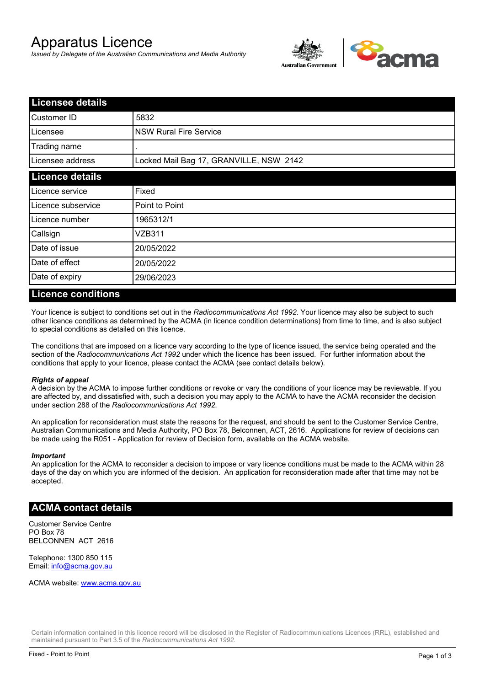# Apparatus Licence

*Issued by Delegate of the Australian Communications and Media Authority*



| <b>Licensee details</b> |                                         |  |  |
|-------------------------|-----------------------------------------|--|--|
| Customer ID             | 5832                                    |  |  |
| Licensee                | <b>NSW Rural Fire Service</b>           |  |  |
| Trading name            |                                         |  |  |
| Licensee address        | Locked Mail Bag 17, GRANVILLE, NSW 2142 |  |  |
| <b>Licence details</b>  |                                         |  |  |
| Licence service         | Fixed                                   |  |  |
| Licence subservice      | Point to Point                          |  |  |
| Licence number          | 1965312/1                               |  |  |
| Callsign                | VZB311                                  |  |  |
| Date of issue           | 20/05/2022                              |  |  |
| Date of effect          | 20/05/2022                              |  |  |
| Date of expiry          | 29/06/2023                              |  |  |

#### **Licence conditions**

Your licence is subject to conditions set out in the *Radiocommunications Act 1992*. Your licence may also be subject to such other licence conditions as determined by the ACMA (in licence condition determinations) from time to time, and is also subject to special conditions as detailed on this licence.

The conditions that are imposed on a licence vary according to the type of licence issued, the service being operated and the section of the *Radiocommunications Act 1992* under which the licence has been issued. For further information about the conditions that apply to your licence, please contact the ACMA (see contact details below).

#### *Rights of appeal*

A decision by the ACMA to impose further conditions or revoke or vary the conditions of your licence may be reviewable. If you are affected by, and dissatisfied with, such a decision you may apply to the ACMA to have the ACMA reconsider the decision under section 288 of the *Radiocommunications Act 1992*.

An application for reconsideration must state the reasons for the request, and should be sent to the Customer Service Centre, Australian Communications and Media Authority, PO Box 78, Belconnen, ACT, 2616. Applications for review of decisions can be made using the R051 - Application for review of Decision form, available on the ACMA website.

#### *Important*

An application for the ACMA to reconsider a decision to impose or vary licence conditions must be made to the ACMA within 28 days of the day on which you are informed of the decision. An application for reconsideration made after that time may not be accepted.

#### **ACMA contact details**

Customer Service Centre PO Box 78 BELCONNEN ACT 2616

Telephone: 1300 850 115 Email: info@acma.gov.au

ACMA website: www.acma.gov.au

Certain information contained in this licence record will be disclosed in the Register of Radiocommunications Licences (RRL), established and maintained pursuant to Part 3.5 of the *Radiocommunications Act 1992.*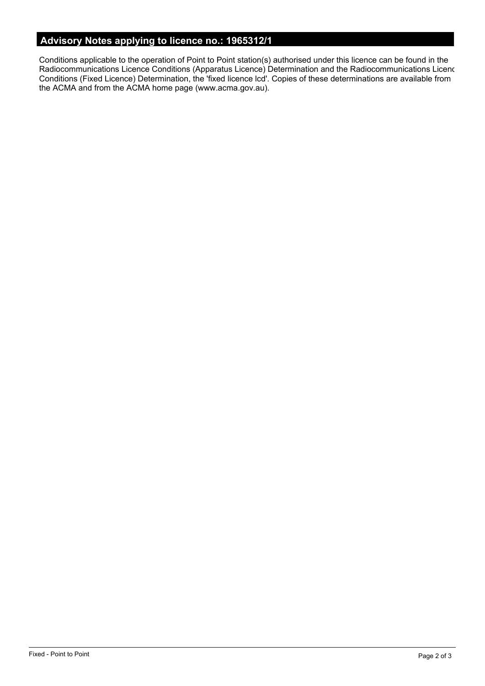# **Advisory Notes applying to licence no.: 1965312/1**

Conditions applicable to the operation of Point to Point station(s) authorised under this licence can be found in the Radiocommunications Licence Conditions (Apparatus Licence) Determination and the Radiocommunications Licence Conditions (Fixed Licence) Determination, the 'fixed licence lcd'. Copies of these determinations are available from the ACMA and from the ACMA home page (www.acma.gov.au).